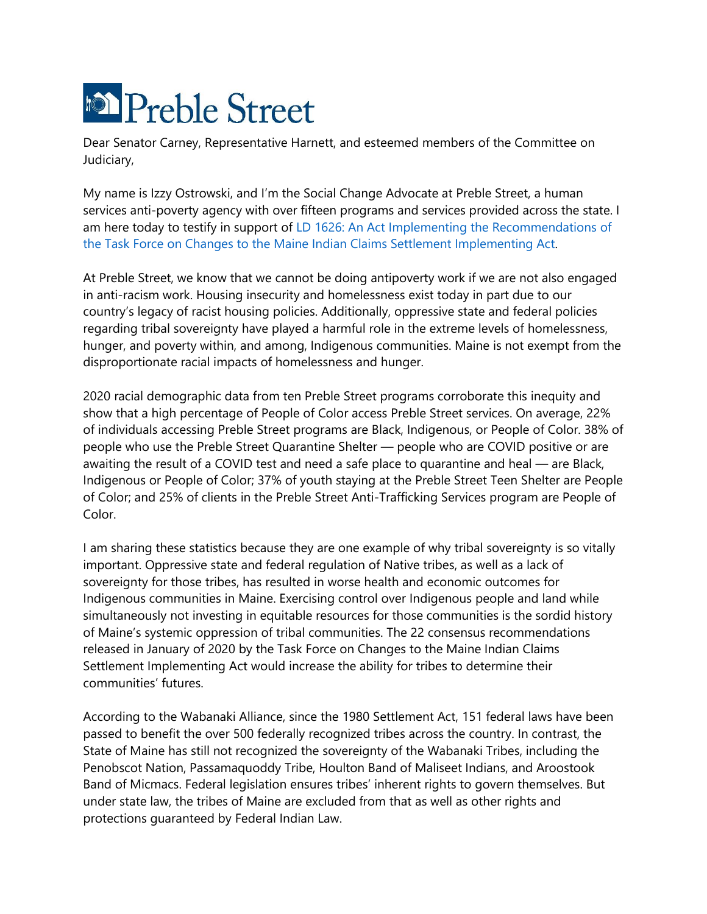

Dear Senator Carney, Representative Harnett, and esteemed members of the Committee on Judiciary,

My name is Izzy Ostrowski, and I'm the Social Change Advocate at Preble Street, a human services anti-poverty agency with over fifteen programs and services provided across the state. I am here today to testify in support of [LD 1626: An Act Implementing the Recommendations of](https://legislature.maine.gov/LawMakerWeb/summary.asp?ID=280080665)  [the Task Force on Changes to the Maine Indian Claims Settlement Implementing Act.](https://legislature.maine.gov/LawMakerWeb/summary.asp?ID=280080665)

At Preble Street, we know that we cannot be doing antipoverty work if we are not also engaged in anti-racism work. Housing insecurity and homelessness exist today in part due to our country's legacy of racist housing policies. Additionally, oppressive state and federal policies regarding tribal sovereignty have played a harmful role in the extreme levels of homelessness, hunger, and poverty within, and among, Indigenous communities. Maine is not exempt from the disproportionate racial impacts of homelessness and hunger.

2020 racial demographic data from ten Preble Street programs corroborate this inequity and show that a high percentage of People of Color access Preble Street services. On average, 22% of individuals accessing Preble Street programs are Black, Indigenous, or People of Color. 38% of people who use the Preble Street Quarantine Shelter — people who are COVID positive or are awaiting the result of a COVID test and need a safe place to quarantine and heal — are Black, Indigenous or People of Color; 37% of youth staying at the Preble Street Teen Shelter are People of Color; and 25% of clients in the Preble Street Anti-Trafficking Services program are People of Color.

I am sharing these statistics because they are one example of why tribal sovereignty is so vitally important. Oppressive state and federal regulation of Native tribes, as well as a lack of sovereignty for those tribes, has resulted in worse health and economic outcomes for Indigenous communities in Maine. Exercising control over Indigenous people and land while simultaneously not investing in equitable resources for those communities is the sordid history of Maine's systemic oppression of tribal communities. The 22 consensus recommendations released in January of 2020 by the Task Force on Changes to the Maine Indian Claims Settlement Implementing Act would increase the ability for tribes to determine their communities' futures.

According to the Wabanaki Alliance, since the 1980 Settlement Act, 151 federal laws have been passed to benefit the over 500 federally recognized tribes across the country. In contrast, the State of Maine has still not recognized the sovereignty of the Wabanaki Tribes, including the Penobscot Nation, Passamaquoddy Tribe, Houlton Band of Maliseet Indians, and Aroostook Band of Micmacs. Federal legislation ensures tribes' inherent rights to govern themselves. But under state law, the tribes of Maine are excluded from that as well as other rights and protections guaranteed by Federal Indian Law.